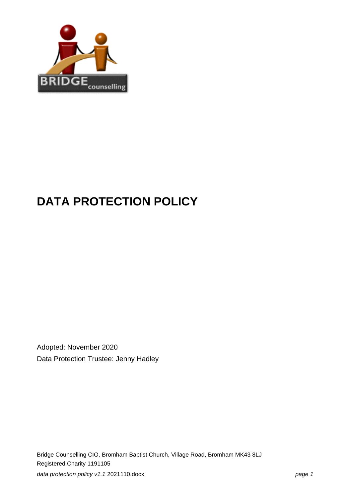

# **DATA PROTECTION POLICY**

Adopted: November 2020 Data Protection Trustee: Jenny Hadley

Bridge Counselling CIO, Bromham Baptist Church, Village Road, Bromham MK43 8LJ Registered Charity 1191105 data protection policy v1.1 2021110.docx *page 1*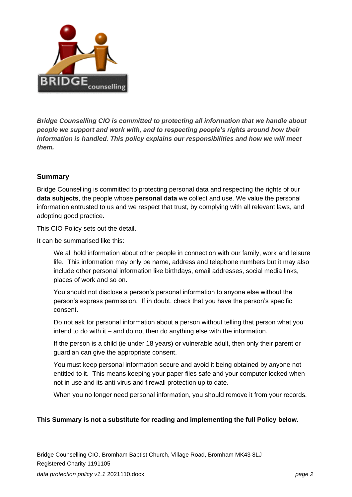

*Bridge Counselling CIO is committed to protecting all information that we handle about people we support and work with, and to respecting people's rights around how their information is handled. This policy explains our responsibilities and how we will meet them.*

## **Summary**

Bridge Counselling is committed to protecting personal data and respecting the rights of our **data subjects**, the people whose **personal data** we collect and use. We value the personal information entrusted to us and we respect that trust, by complying with all relevant laws, and adopting good practice.

This CIO Policy sets out the detail.

It can be summarised like this:

We all hold information about other people in connection with our family, work and leisure life. This information may only be name, address and telephone numbers but it may also include other personal information like birthdays, email addresses, social media links, places of work and so on.

You should not disclose a person's personal information to anyone else without the person's express permission. If in doubt, check that you have the person's specific consent.

Do not ask for personal information about a person without telling that person what you intend to do with it – and do not then do anything else with the information.

If the person is a child (ie under 18 years) or vulnerable adult, then only their parent or guardian can give the appropriate consent.

You must keep personal information secure and avoid it being obtained by anyone not entitled to it. This means keeping your paper files safe and your computer locked when not in use and its anti-virus and firewall protection up to date.

When you no longer need personal information, you should remove it from your records.

## **This Summary is not a substitute for reading and implementing the full Policy below.**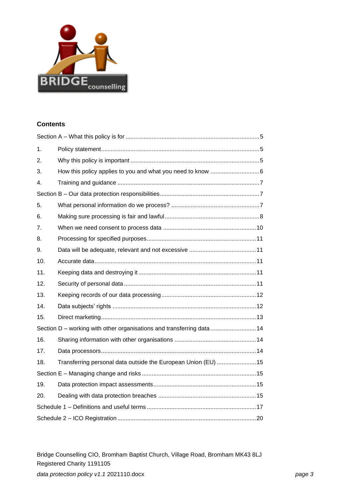

## **Contents**

| 1.                                                                     |                                                               |
|------------------------------------------------------------------------|---------------------------------------------------------------|
| 2.                                                                     |                                                               |
| 3.                                                                     |                                                               |
| 4.                                                                     |                                                               |
|                                                                        |                                                               |
| 5.                                                                     |                                                               |
| 6.                                                                     |                                                               |
| 7.                                                                     |                                                               |
| 8.                                                                     |                                                               |
| 9.                                                                     |                                                               |
| 10.                                                                    |                                                               |
| 11.                                                                    |                                                               |
| 12.                                                                    |                                                               |
| 13.                                                                    |                                                               |
| 14.                                                                    |                                                               |
| 15.                                                                    |                                                               |
| Section D - working with other organisations and transferring data  14 |                                                               |
| 16.                                                                    |                                                               |
| 17.                                                                    |                                                               |
| 18.                                                                    | Transferring personal data outside the European Union (EU) 15 |
|                                                                        |                                                               |
| 19.                                                                    |                                                               |
| 20.                                                                    |                                                               |
|                                                                        |                                                               |
|                                                                        |                                                               |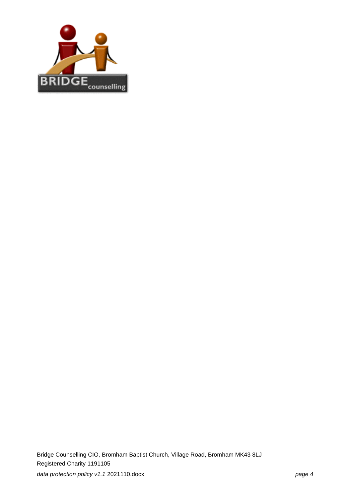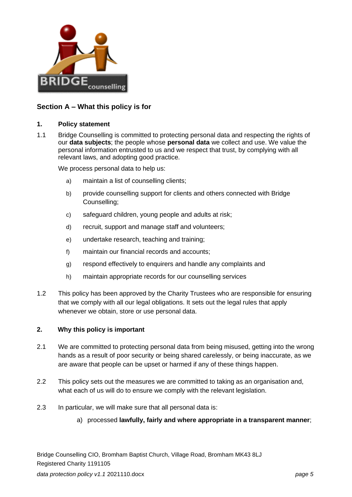

# **Section A – What this policy is for**

#### **1. Policy statement**

1.1 Bridge Counselling is committed to protecting personal data and respecting the rights of our **data subjects**; the people whose **personal data** we collect and use. We value the personal information entrusted to us and we respect that trust, by complying with all relevant laws, and adopting good practice.

We process personal data to help us:

- a) maintain a list of counselling clients;
- b) provide counselling support for clients and others connected with Bridge Counselling;
- c) safeguard children, young people and adults at risk;
- d) recruit, support and manage staff and volunteers;
- e) undertake research, teaching and training;
- f) maintain our financial records and accounts;
- g) respond effectively to enquirers and handle any complaints and
- h) maintain appropriate records for our counselling services
- 1.2 This policy has been approved by the Charity Trustees who are responsible for ensuring that we comply with all our legal obligations. It sets out the legal rules that apply whenever we obtain, store or use personal data.

#### **2. Why this policy is important**

- 2.1 We are committed to protecting personal data from being misused, getting into the wrong hands as a result of poor security or being shared carelessly, or being inaccurate, as we are aware that people can be upset or harmed if any of these things happen.
- 2.2 This policy sets out the measures we are committed to taking as an organisation and, what each of us will do to ensure we comply with the relevant legislation.
- 2.3 In particular, we will make sure that all personal data is:
	- a) processed **lawfully, fairly and where appropriate in a transparent manner**;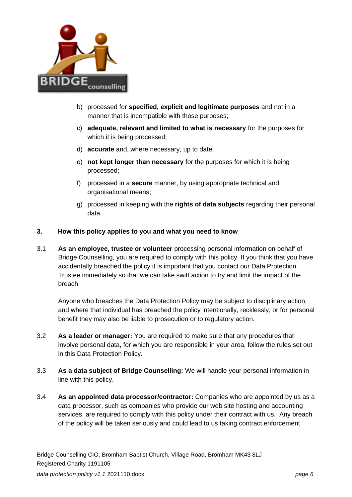

- b) processed for **specified, explicit and legitimate purposes** and not in a manner that is incompatible with those purposes;
- c) **adequate, relevant and limited to what is necessary** for the purposes for which it is being processed;
- d) **accurate** and, where necessary, up to date;
- e) **not kept longer than necessary** for the purposes for which it is being processed;
- f) processed in a **secure** manner, by using appropriate technical and organisational means;
- g) processed in keeping with the **rights of data subjects** regarding their personal data.
- **3. How this policy applies to you and what you need to know**
- 3.1 **As an employee, trustee or volunteer** processing personal information on behalf of Bridge Counselling, you are required to comply with this policy. If you think that you have accidentally breached the policy it is important that you contact our Data Protection Trustee immediately so that we can take swift action to try and limit the impact of the breach.

Anyone who breaches the Data Protection Policy may be subject to disciplinary action, and where that individual has breached the policy intentionally, recklessly, or for personal benefit they may also be liable to prosecution or to regulatory action.

- 3.2 **As a leader or manager:** You are required to make sure that any procedures that involve personal data, for which you are responsible in your area, follow the rules set out in this Data Protection Policy.
- 3.3 **As a data subject of Bridge Counselling:** We will handle your personal information in line with this policy.
- 3.4 **As an appointed data processor/contractor:** Companies who are appointed by us as a data processor, such as companies who provide our web site hosting and accounting services, are required to comply with this policy under their contract with us. Any breach of the policy will be taken seriously and could lead to us taking contract enforcement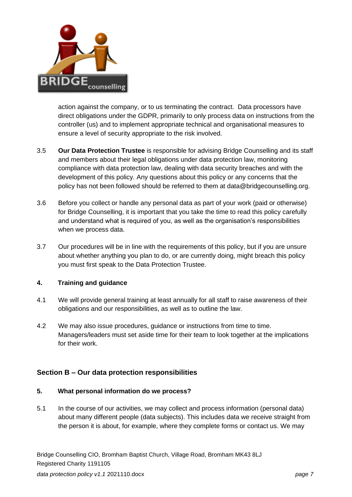

action against the company, or to us terminating the contract. Data processors have direct obligations under the GDPR, primarily to only process data on instructions from the controller (us) and to implement appropriate technical and organisational measures to ensure a level of security appropriate to the risk involved.

- 3.5 **Our Data Protection Trustee** is responsible for advising Bridge Counselling and its staff and members about their legal obligations under data protection law, monitoring compliance with data protection law, dealing with data security breaches and with the development of this policy. Any questions about this policy or any concerns that the policy has not been followed should be referred to them at data@bridgecounselling.org.
- 3.6 Before you collect or handle any personal data as part of your work (paid or otherwise) for Bridge Counselling, it is important that you take the time to read this policy carefully and understand what is required of you, as well as the organisation's responsibilities when we process data.
- 3.7 Our procedures will be in line with the requirements of this policy, but if you are unsure about whether anything you plan to do, or are currently doing, might breach this policy you must first speak to the Data Protection Trustee.

## **4. Training and guidance**

- 4.1 We will provide general training at least annually for all staff to raise awareness of their obligations and our responsibilities, as well as to outline the law.
- 4.2 We may also issue procedures, guidance or instructions from time to time. Managers/leaders must set aside time for their team to look together at the implications for their work.

## **Section B – Our data protection responsibilities**

## **5. What personal information do we process?**

5.1 In the course of our activities, we may collect and process information (personal data) about many different people (data subjects). This includes data we receive straight from the person it is about, for example, where they complete forms or contact us. We may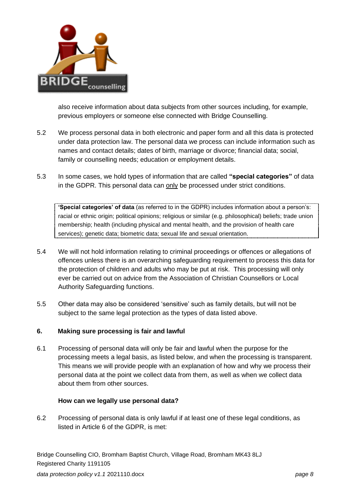

also receive information about data subjects from other sources including, for example, previous employers or someone else connected with Bridge Counselling.

- 5.2 We process personal data in both electronic and paper form and all this data is protected under data protection law. The personal data we process can include information such as names and contact details; dates of birth, marriage or divorce; financial data; social, family or counselling needs; education or employment details.
- 5.3 In some cases, we hold types of information that are called **"special categories"** of data in the GDPR. This personal data can only be processed under strict conditions.

**'Special categories' of data** (as referred to in the GDPR) includes information about a person's: racial or ethnic origin; political opinions; religious or similar (e.g. philosophical) beliefs; trade union membership; health (including physical and mental health, and the provision of health care services); genetic data; biometric data; sexual life and sexual orientation.

- 5.4 We will not hold information relating to criminal proceedings or offences or allegations of offences unless there is an overarching safeguarding requirement to process this data for the protection of children and adults who may be put at risk. This processing will only ever be carried out on advice from the Association of Christian Counsellors or Local Authority Safeguarding functions.
- 5.5 Other data may also be considered 'sensitive' such as family details, but will not be subject to the same legal protection as the types of data listed above.

## **6. Making sure processing is fair and lawful**

6.1 Processing of personal data will only be fair and lawful when the purpose for the processing meets a legal basis, as listed below, and when the processing is transparent. This means we will provide people with an explanation of how and why we process their personal data at the point we collect data from them, as well as when we collect data about them from other sources.

#### **How can we legally use personal data?**

6.2 Processing of personal data is only lawful if at least one of these legal conditions, as listed in Article 6 of the GDPR, is met: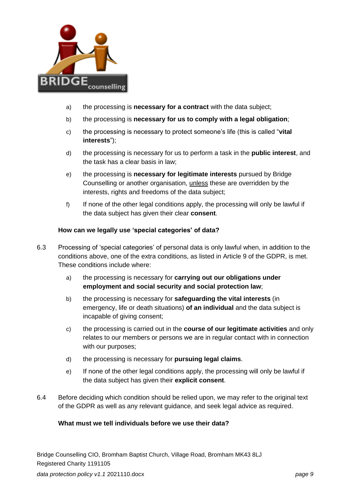

- a) the processing is **necessary for a contract** with the data subject;
- b) the processing is **necessary for us to comply with a legal obligation**;
- c) the processing is necessary to protect someone's life (this is called "**vital interests**");
- d) the processing is necessary for us to perform a task in the **public interest**, and the task has a clear basis in law;
- e) the processing is **necessary for legitimate interests** pursued by Bridge Counselling or another organisation, unless these are overridden by the interests, rights and freedoms of the data subject;
- f) If none of the other legal conditions apply, the processing will only be lawful if the data subject has given their clear **consent**.

## **How can we legally use 'special categories' of data?**

- 6.3 Processing of 'special categories' of personal data is only lawful when, in addition to the conditions above, one of the extra conditions, as listed in Article 9 of the GDPR, is met. These conditions include where:
	- a) the processing is necessary for **carrying out our obligations under employment and social security and social protection law**;
	- b) the processing is necessary for **safeguarding the vital interests** (in emergency, life or death situations) **of an individual** and the data subject is incapable of giving consent;
	- c) the processing is carried out in the **course of our legitimate activities** and only relates to our members or persons we are in regular contact with in connection with our purposes;
	- d) the processing is necessary for **pursuing legal claims**.
	- e) If none of the other legal conditions apply, the processing will only be lawful if the data subject has given their **explicit consent**.
- 6.4 Before deciding which condition should be relied upon, we may refer to the original text of the GDPR as well as any relevant guidance, and seek legal advice as required.

#### **What must we tell individuals before we use their data?**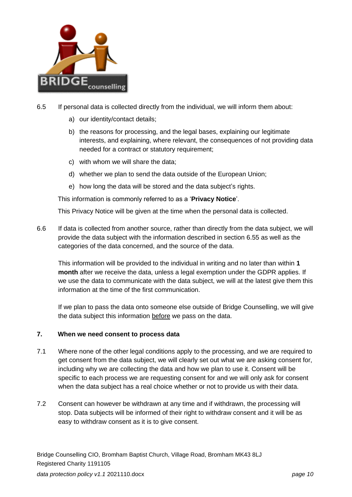

- <span id="page-9-0"></span>6.5 If personal data is collected directly from the individual, we will inform them about:
	- a) our identity/contact details;
	- b) the reasons for processing, and the legal bases, explaining our legitimate interests, and explaining, where relevant, the consequences of not providing data needed for a contract or statutory requirement;
	- c) with whom we will share the data;
	- d) whether we plan to send the data outside of the European Union;
	- e) how long the data will be stored and the data subject's rights.

This information is commonly referred to as a '**Privacy Notice**'.

This Privacy Notice will be given at the time when the personal data is collected.

6.6 If data is collected from another source, rather than directly from the data subject, we will provide the data subject with the information described in section [6.55](#page-9-0) as well as the categories of the data concerned, and the source of the data.

This information will be provided to the individual in writing and no later than within **1 month** after we receive the data, unless a legal exemption under the GDPR applies. If we use the data to communicate with the data subject, we will at the latest give them this information at the time of the first communication.

If we plan to pass the data onto someone else outside of Bridge Counselling, we will give the data subject this information before we pass on the data.

#### **7. When we need consent to process data**

- 7.1 Where none of the other legal conditions apply to the processing, and we are required to get consent from the data subject, we will clearly set out what we are asking consent for, including why we are collecting the data and how we plan to use it. Consent will be specific to each process we are requesting consent for and we will only ask for consent when the data subject has a real choice whether or not to provide us with their data.
- 7.2 Consent can however be withdrawn at any time and if withdrawn, the processing will stop. Data subjects will be informed of their right to withdraw consent and it will be as easy to withdraw consent as it is to give consent.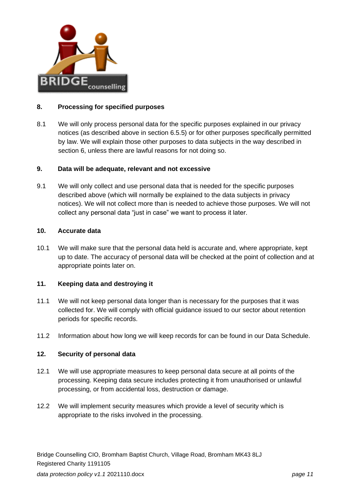

## **8. Processing for specified purposes**

8.1 We will only process personal data for the specific purposes explained in our privacy notices (as described above in section [6.5.](#page-9-0)5) or for other purposes specifically permitted by law. We will explain those other purposes to data subjects in the way described in section 6, unless there are lawful reasons for not doing so.

#### **9. Data will be adequate, relevant and not excessive**

9.1 We will only collect and use personal data that is needed for the specific purposes described above (which will normally be explained to the data subjects in privacy notices). We will not collect more than is needed to achieve those purposes. We will not collect any personal data "just in case" we want to process it later.

#### **10. Accurate data**

10.1 We will make sure that the personal data held is accurate and, where appropriate, kept up to date. The accuracy of personal data will be checked at the point of collection and at appropriate points later on.

## **11. Keeping data and destroying it**

- 11.1 We will not keep personal data longer than is necessary for the purposes that it was collected for. We will comply with official guidance issued to our sector about retention periods for specific records.
- 11.2 Information about how long we will keep records for can be found in our Data Schedule.

#### **12. Security of personal data**

- 12.1 We will use appropriate measures to keep personal data secure at all points of the processing. Keeping data secure includes protecting it from unauthorised or unlawful processing, or from accidental loss, destruction or damage.
- 12.2 We will implement security measures which provide a level of security which is appropriate to the risks involved in the processing.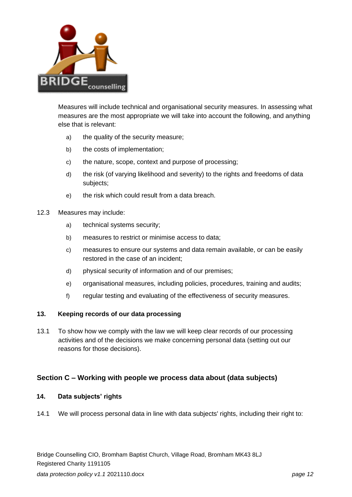

Measures will include technical and organisational security measures. In assessing what measures are the most appropriate we will take into account the following, and anything else that is relevant:

- a) the quality of the security measure;
- b) the costs of implementation;
- c) the nature, scope, context and purpose of processing;
- d) the risk (of varying likelihood and severity) to the rights and freedoms of data subjects;
- e) the risk which could result from a data breach.
- 12.3 Measures may include:
	- a) technical systems security;
	- b) measures to restrict or minimise access to data;
	- c) measures to ensure our systems and data remain available, or can be easily restored in the case of an incident;
	- d) physical security of information and of our premises;
	- e) organisational measures, including policies, procedures, training and audits;
	- f) regular testing and evaluating of the effectiveness of security measures.

#### **13. Keeping records of our data processing**

13.1 To show how we comply with the law we will keep clear records of our processing activities and of the decisions we make concerning personal data (setting out our reasons for those decisions).

## **Section C – Working with people we process data about (data subjects)**

#### **14. Data subjects' rights**

14.1 We will process personal data in line with data subjects' rights, including their right to: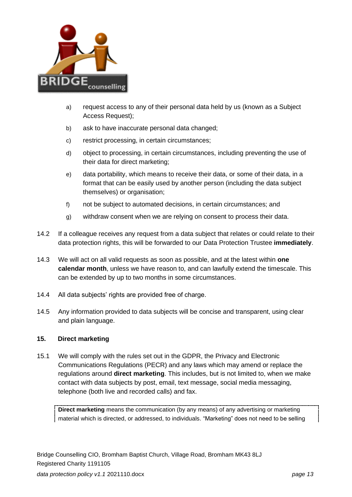

- a) request access to any of their personal data held by us (known as a Subject Access Request);
- b) ask to have inaccurate personal data changed;
- c) restrict processing, in certain circumstances;
- d) object to processing, in certain circumstances, including preventing the use of their data for direct marketing;
- e) data portability, which means to receive their data, or some of their data, in a format that can be easily used by another person (including the data subject themselves) or organisation;
- f) not be subject to automated decisions, in certain circumstances; and
- g) withdraw consent when we are relying on consent to process their data.
- 14.2 If a colleague receives any request from a data subject that relates or could relate to their data protection rights, this will be forwarded to our Data Protection Trustee **immediately**.
- 14.3 We will act on all valid requests as soon as possible, and at the latest within **one calendar month**, unless we have reason to, and can lawfully extend the timescale. This can be extended by up to two months in some circumstances.
- 14.4 All data subjects' rights are provided free of charge.
- 14.5 Any information provided to data subjects will be concise and transparent, using clear and plain language.

#### **15. Direct marketing**

15.1 We will comply with the rules set out in the GDPR, the Privacy and Electronic Communications Regulations (PECR) and any laws which may amend or replace the regulations around **direct marketing**. This includes, but is not limited to, when we make contact with data subjects by post, email, text message, social media messaging, telephone (both live and recorded calls) and fax.

**Direct marketing** means the communication (by any means) of any advertising or marketing material which is directed, or addressed, to individuals. "Marketing" does not need to be selling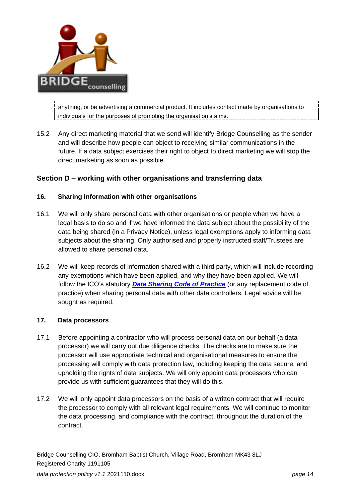

anything, or be advertising a commercial product. It includes contact made by organisations to individuals for the purposes of promoting the organisation's aims.

15.2 Any direct marketing material that we send will identify Bridge Counselling as the sender and will describe how people can object to receiving similar communications in the future. If a data subject exercises their right to object to direct marketing we will stop the direct marketing as soon as possible.

# **Section D – working with other organisations and transferring data**

## **16. Sharing information with other organisations**

- 16.1 We will only share personal data with other organisations or people when we have a legal basis to do so and if we have informed the data subject about the possibility of the data being shared (in a Privacy Notice), unless legal exemptions apply to informing data subjects about the sharing. Only authorised and properly instructed staff/Trustees are allowed to share personal data.
- 16.2 We will keep records of information shared with a third party, which will include recording any exemptions which have been applied, and why they have been applied. We will follow the ICO's statutory *[Data Sharing Code of Practice](https://ico.org.uk/media/for-organisations/.../data_sharing_code_of_practice.pdf)* (or any replacement code of practice) when sharing personal data with other data controllers. Legal advice will be sought as required.

#### **17. Data processors**

- 17.1 Before appointing a contractor who will process personal data on our behalf (a data processor) we will carry out due diligence checks. The checks are to make sure the processor will use appropriate technical and organisational measures to ensure the processing will comply with data protection law, including keeping the data secure, and upholding the rights of data subjects. We will only appoint data processors who can provide us with sufficient guarantees that they will do this.
- 17.2 We will only appoint data processors on the basis of a written contract that will require the processor to comply with all relevant legal requirements. We will continue to monitor the data processing, and compliance with the contract, throughout the duration of the contract.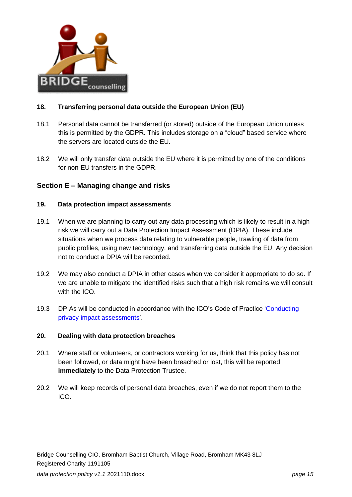

## **18. Transferring personal data outside the European Union (EU)**

- 18.1 Personal data cannot be transferred (or stored) outside of the European Union unless this is permitted by the GDPR. This includes storage on a "cloud" based service where the servers are located outside the EU.
- 18.2 We will only transfer data outside the EU where it is permitted by one of the conditions for non-EU transfers in the GDPR.

# **Section E – Managing change and risks**

## **19. Data protection impact assessments**

- 19.1 When we are planning to carry out any data processing which is likely to result in a high risk we will carry out a Data Protection Impact Assessment (DPIA). These include situations when we process data relating to vulnerable people, trawling of data from public profiles, using new technology, and transferring data outside the EU. Any decision not to conduct a DPIA will be recorded.
- 19.2 We may also conduct a DPIA in other cases when we consider it appropriate to do so. If we are unable to mitigate the identified risks such that a high risk remains we will consult with the ICO.
- 19.3 DPIAs will be conducted in accordance with the ICO's Code of Practice ['Conducting](https://ico.org.uk/media/for-organisations/documents/1595/pia-code-of-practice.pdf)  privacy [impact assessments'](https://ico.org.uk/media/for-organisations/documents/1595/pia-code-of-practice.pdf).

#### **20. Dealing with data protection breaches**

- 20.1 Where staff or volunteers, or contractors working for us, think that this policy has not been followed, or data might have been breached or lost, this will be reported **immediately** to the Data Protection Trustee.
- 20.2 We will keep records of personal data breaches, even if we do not report them to the ICO.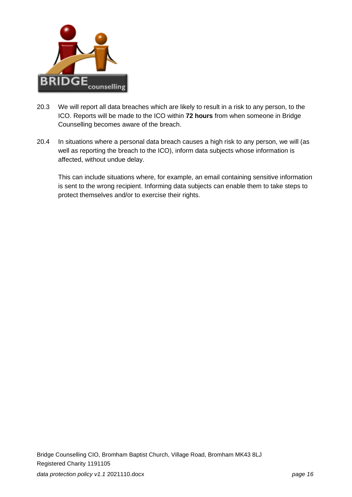

- 20.3 We will report all data breaches which are likely to result in a risk to any person, to the ICO. Reports will be made to the ICO within **72 hours** from when someone in Bridge Counselling becomes aware of the breach.
- 20.4 In situations where a personal data breach causes a high risk to any person, we will (as well as reporting the breach to the ICO), inform data subjects whose information is affected, without undue delay.

This can include situations where, for example, an email containing sensitive information is sent to the wrong recipient. Informing data subjects can enable them to take steps to protect themselves and/or to exercise their rights.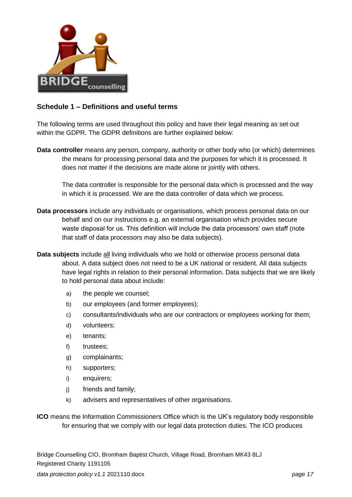

# **Schedule 1 – Definitions and useful terms**

The following terms are used throughout this policy and have their legal meaning as set out within the GDPR. The GDPR definitions are further explained below:

**Data controller** means any person, company, authority or other body who (or which) determines the means for processing personal data and the purposes for which it is processed. It does not matter if the decisions are made alone or jointly with others.

The data controller is responsible for the personal data which is processed and the way in which it is processed. We are the data controller of data which we process.

- **Data processors** include any individuals or organisations, which process personal data on our behalf and on our instructions e.g. an external organisation which provides secure waste disposal for us. This definition will include the data processors' own staff (note that staff of data processors may also be data subjects).
- **Data subjects** include all living individuals who we hold or otherwise process personal data about. A data subject does not need to be a UK national or resident. All data subjects have legal rights in relation to their personal information. Data subjects that we are likely to hold personal data about include:
	- a) the people we counsel;
	- b) our employees (and former employees);
	- c) consultants/individuals who are our contractors or employees working for them;
	- d) volunteers;
	- e) tenants;
	- f) trustees:
	- g) complainants;
	- h) supporters;
	- i) enquirers;
	- j) friends and family;
	- k) advisers and representatives of other organisations.

**ICO** means the Information Commissioners Office which is the UK's regulatory body responsible for ensuring that we comply with our legal data protection duties. The ICO produces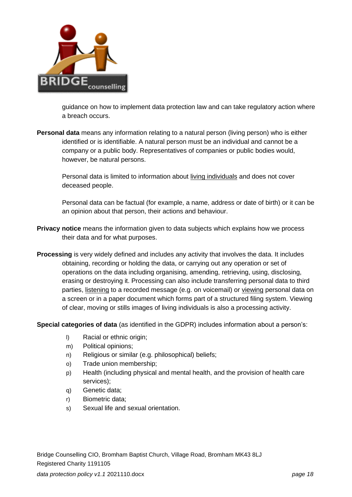

guidance on how to implement data protection law and can take regulatory action where a breach occurs.

**Personal data** means any information relating to a natural person (living person) who is either identified or is identifiable. A natural person must be an individual and cannot be a company or a public body. Representatives of companies or public bodies would, however, be natural persons.

Personal data is limited to information about living individuals and does not cover deceased people.

Personal data can be factual (for example, a name, address or date of birth) or it can be an opinion about that person, their actions and behaviour.

- **Privacy notice** means the information given to data subjects which explains how we process their data and for what purposes.
- **Processing** is very widely defined and includes any activity that involves the data. It includes obtaining, recording or holding the data, or carrying out any operation or set of operations on the data including organising, amending, retrieving, using, disclosing, erasing or destroying it. Processing can also include transferring personal data to third parties, listening to a recorded message (e.g. on voicemail) or viewing personal data on a screen or in a paper document which forms part of a structured filing system. Viewing of clear, moving or stills images of living individuals is also a processing activity.

**Special categories of data** (as identified in the GDPR) includes information about a person's:

- l) Racial or ethnic origin;
- m) Political opinions;
- n) Religious or similar (e.g. philosophical) beliefs;
- o) Trade union membership;
- p) Health (including physical and mental health, and the provision of health care services);
- q) Genetic data;
- r) Biometric data;
- s) Sexual life and sexual orientation.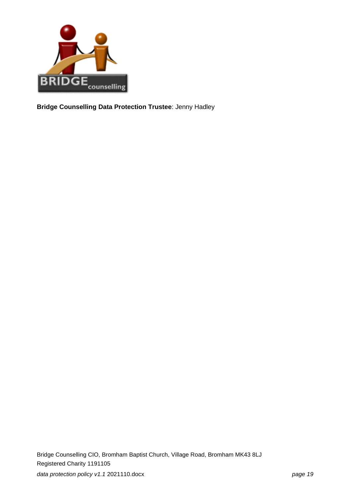

**Bridge Counselling Data Protection Trustee**: Jenny Hadley